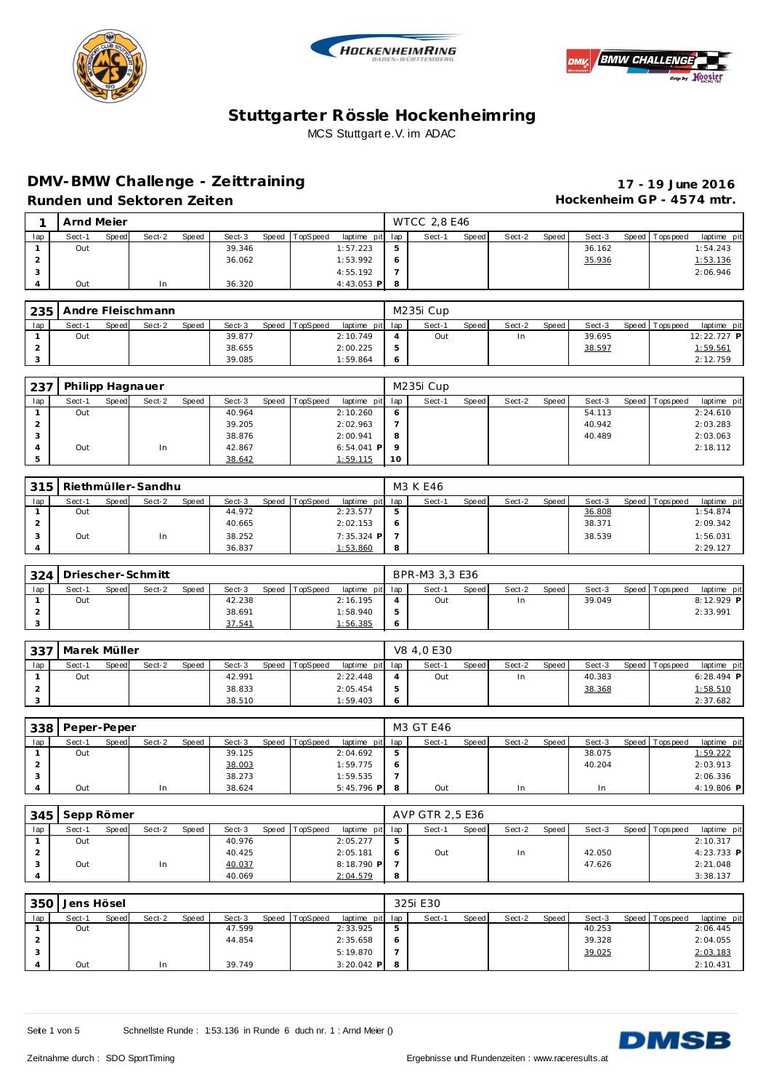





# **DMV-BMW Challenge - Ze ittraining 17 - 19 June 2016**

Hockenheim GP - 4574 mtr.

|  | Runden und Sektoren Zeiten |  |
|--|----------------------------|--|

|     | Arnd Mejer |       |        |       |        |       |          |                 |         | <b>WTCC 2.8 E46</b> |       |        |       |        |                 |             |
|-----|------------|-------|--------|-------|--------|-------|----------|-----------------|---------|---------------------|-------|--------|-------|--------|-----------------|-------------|
| lap | Sect-1     | Speed | Sect-2 | Speed | Sect-3 | Speed | TopSpeed | laptime pit lap |         | Sect-1              | Speed | Sect-2 | Speed | Sect-3 | Speed Tops peed | laptime pit |
|     | Out        |       |        |       | 39.346 |       |          | 1:57.223        | 5       |                     |       |        |       | 36.162 |                 | 1:54.243    |
|     |            |       |        |       | 36.062 |       |          | 1:53.992        | $\circ$ |                     |       |        |       | 35.936 |                 | 1:53.136    |
| - 1 |            |       |        |       |        |       |          | 4:55.192        |         |                     |       |        |       |        |                 | 2:06.946    |
|     | Out        |       | In     |       | 36.320 |       |          | $4:43.053$ P    | -8      |                     |       |        |       |        |                 |             |

| 235 |        |       | Andre Fleischmann |              |        |       |          |                 | M235i Cup |       |        |         |        |                |             |
|-----|--------|-------|-------------------|--------------|--------|-------|----------|-----------------|-----------|-------|--------|---------|--------|----------------|-------------|
| lap | Sect-1 | Speed | Sect-2            | <b>Speed</b> | Sect-3 | Speed | TopSpeed | laptime pit lap | Sect-1    | Speed | Sect-2 | Speed I | Sect-3 | Speed Topspeed | laptime pit |
|     | Out    |       |                   |              | 39.877 |       |          | 2:10.749        | Out       |       | In     |         | 39.695 |                | 12:22.727 P |
|     |        |       |                   |              | 38.655 |       |          | 2:00.225        |           |       |        |         | 38.597 |                | 1:59.561    |
|     |        |       |                   |              | 39.085 |       |          | : 59.864        |           |       |        |         |        |                | 2:12.759    |

| 237 | Philipp Hagnauer |       |        |       |        |       |          |                 |         | M235i Cup |       |        |       |        |                |             |
|-----|------------------|-------|--------|-------|--------|-------|----------|-----------------|---------|-----------|-------|--------|-------|--------|----------------|-------------|
| lap | Sect-1           | Speed | Sect-2 | Speed | Sect-3 | Speed | TopSpeed | laptime pit lap |         | Sect-1    | Speed | Sect-2 | Speed | Sect-3 | Speed Topspeed | laptime pit |
|     | Out              |       |        |       | 40.964 |       |          | 2:10.260        | 6       |           |       |        |       | 54.113 |                | 2:24.610    |
|     |                  |       |        |       | 39.205 |       |          | 2:02.963        |         |           |       |        |       | 40.942 |                | 2:03.283    |
|     |                  |       |        |       | 38.876 |       |          | 2:00.941        | -8      |           |       |        |       | 40.489 |                | 2:03.063    |
|     | Out              |       | In     |       | 42.867 |       |          | $6:54.041$ P    | $\circ$ |           |       |        |       |        |                | 2:18.112    |
|     |                  |       |        |       | 38.642 |       |          | 1:59.115        | 10      |           |       |        |       |        |                |             |

| 315 |        |       | Riethmüller-Sandhu |              |        |                |                 | M3 K E46 |       |        |       |        |                 |             |
|-----|--------|-------|--------------------|--------------|--------|----------------|-----------------|----------|-------|--------|-------|--------|-----------------|-------------|
| lap | Sect-1 | Speed | Sect-2             | <b>Speed</b> | Sect-3 | Speed TopSpeed | laptime pit lap | Sect-1   | Speed | Sect-2 | Speed | Sect-3 | Speed Tops peed | laptime pit |
|     | Out    |       |                    |              | 44.972 |                | 2:23.577        |          |       |        |       | 36.808 |                 | 1:54.874    |
|     |        |       |                    |              | 40.665 |                | 2:02.153        |          |       |        |       | 38.371 |                 | 2:09.342    |
|     | Out    |       | In                 |              | 38.252 |                | 7:35.324 P      |          |       |        |       | 38.539 |                 | 1:56.031    |
|     |        |       |                    |              | 36.837 |                | 1:53.860        |          |       |        |       |        |                 | 2:29.127    |

| 324 |        |       | Driescher-Schmitt |       |        |                |                 |     | BPR-M3 3.3 E36 |       |        |       |        |                 |              |
|-----|--------|-------|-------------------|-------|--------|----------------|-----------------|-----|----------------|-------|--------|-------|--------|-----------------|--------------|
| lap | Sect-1 | Speed | Sect-2            | Speed | Sect-3 | Speed TopSpeed | laptime pit lap |     | Sect-          | Speed | Sect-2 | Speed | Sect-3 | Speed Tops peed | laptime pit  |
|     | Out    |       |                   |       | 42.238 |                | 2:16.195        |     | Out            |       | In     |       | 39.049 |                 | $8:12.929$ P |
|     |        |       |                   |       | 38.691 |                | 1:58.940        | 5   |                |       |        |       |        |                 | 2:33.991     |
|     |        |       |                   |       | 37.541 |                | <u>1:56.385</u> | - 6 |                |       |        |       |        |                 |              |

| 337 | l Marek Müller |       |        |       |        |                |                 |     | V8 4.0 E30 |              |        |       |        |                 |              |
|-----|----------------|-------|--------|-------|--------|----------------|-----------------|-----|------------|--------------|--------|-------|--------|-----------------|--------------|
| lap | Sect-1         | Speed | Sect-2 | Speed | Sect-3 | Speed TopSpeed | laptime pit lap |     | Sect-1     | <b>Speed</b> | Sect-2 | Speed | Sect-3 | Speed Tops peed | laptime pit  |
|     | Out            |       |        |       | 42.991 |                | 2:22.448        |     | Out        |              | In     |       | 40.383 |                 | $6:28.494$ P |
|     |                |       |        |       | 38.833 |                | 2:05.454        | 5   |            |              |        |       | 38.368 |                 | 1:58.510     |
|     |                |       |        |       | 38.510 |                | 1:59.403        | - 6 |            |              |        |       |        |                 | 2:37.682     |

| 338 | Peper-Peper |       |        |       |        |                |                 |            | M3 GT E46 |       |        |       |        |                |             |
|-----|-------------|-------|--------|-------|--------|----------------|-----------------|------------|-----------|-------|--------|-------|--------|----------------|-------------|
| lap | Sect-1      | Speed | Sect-2 | Speed | Sect-3 | Speed TopSpeed | laptime pit lap |            | Sect-1    | Speed | Sect-2 | Speed | Sect-3 | Speed Topspeed | laptime pit |
|     | Out         |       |        |       | 39.125 |                | 2:04.692        | -5         |           |       |        |       | 38.075 |                | 1:59.222    |
|     |             |       |        |       | 38.003 |                | 1:59.775        | $\epsilon$ |           |       |        |       | 40.204 |                | 2:03.913    |
|     |             |       |        |       | 38.273 |                | 1:59.535        |            |           |       |        |       |        |                | 2:06.336    |
|     | Out         |       | In     |       | 38.624 |                | $5:45.796$ P 8  |            | Out       |       | In     |       | In     |                | 4:19.806 P  |

| 345 | Sepp Römer |       |        |       |        |                |                 |   | AVP GTR 2.5 E36 |       |        |       |        |                 |             |
|-----|------------|-------|--------|-------|--------|----------------|-----------------|---|-----------------|-------|--------|-------|--------|-----------------|-------------|
| lap | Sect-1     | Speed | Sect-2 | Speed | Sect-3 | Speed TopSpeed | laptime pit lap |   | Sect-1          | Speed | Sect-2 | Speed | Sect-3 | Speed Tops peed | laptime pit |
|     | Out        |       |        |       | 40.976 |                | 2:05.277        |   |                 |       |        |       |        |                 | 2:10.317    |
|     |            |       |        |       | 40.425 |                | 2:05.181        |   | Out             |       | In     |       | 42.050 |                 | 4:23.733 P  |
|     | Out        |       | In     |       | 40.037 |                | $8:18.790$ P    |   |                 |       |        |       | 47.626 |                 | 2:21.048    |
|     |            |       |        |       | 40.069 |                | 2:04.579        | 8 |                 |       |        |       |        |                 | 3:38.137    |

|     | 350 Jens Hösel |              |        |       |        |       |          |                 |    | 325i E30 |       |        |       |        |                 |             |
|-----|----------------|--------------|--------|-------|--------|-------|----------|-----------------|----|----------|-------|--------|-------|--------|-----------------|-------------|
| lap | Sect-1         | <b>Speed</b> | Sect-2 | Speed | Sect-3 | Speed | TopSpeed | laptime pit lap |    | Sect-1   | Speed | Sect-2 | Speed | Sect-3 | Speed Tops peed | laptime pit |
|     | Out            |              |        |       | 47.599 |       |          | 2:33.925        | 5  |          |       |        |       | 40.253 |                 | 2:06.445    |
|     |                |              |        |       | 44.854 |       |          | 2:35.658        | -6 |          |       |        |       | 39.328 |                 | 2:04.055    |
|     |                |              |        |       |        |       |          | 5:19.870        |    |          |       |        |       | 39.025 |                 | 2:03.183    |
|     | Out            |              | In     |       | 39.749 |       |          | $3:20.042$ P 8  |    |          |       |        |       |        |                 | 2:10.431    |



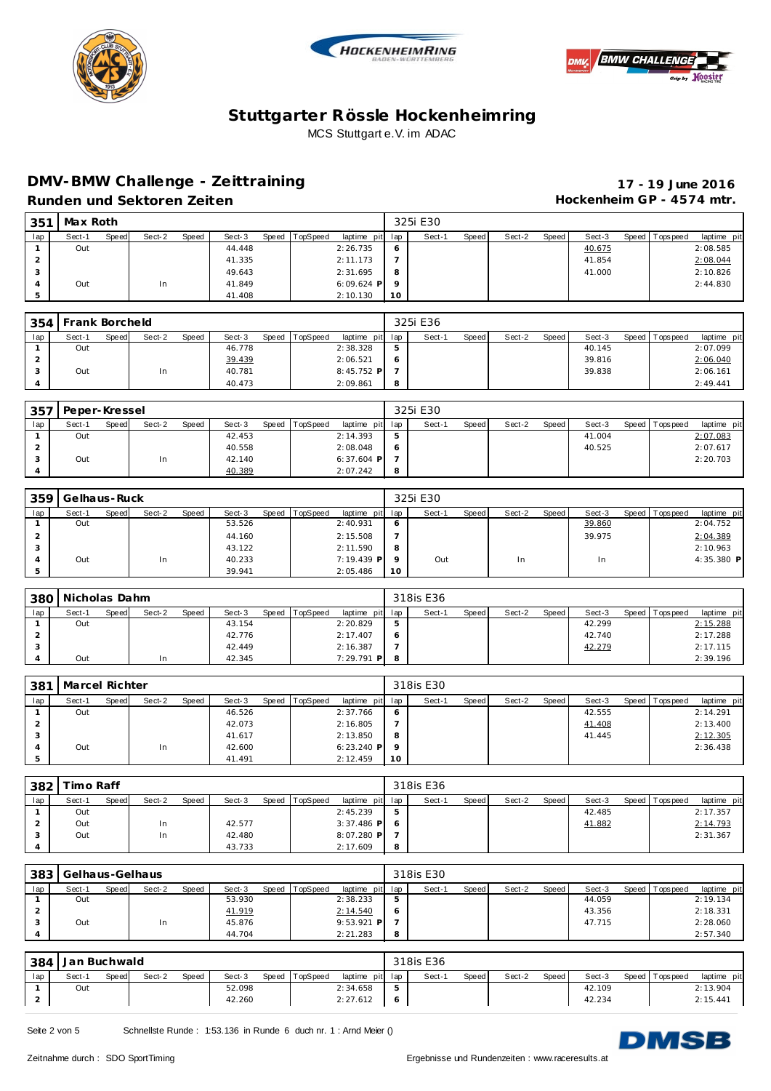





## **DMV-BMW Challenge - Ze ittraining 17 - 19 June 2016** Runden und Sektoren Zeiten **Munden und Sektoren Zeiten Hockenheim GP** - 4574 mtr.

| 351     | Max Roth |       |        |       |        |       |          |                 |         | 325i E30 |       |        |       |        |                 |             |
|---------|----------|-------|--------|-------|--------|-------|----------|-----------------|---------|----------|-------|--------|-------|--------|-----------------|-------------|
| lap     | Sect-1   | Speed | Sect-2 | Speed | Sect-3 | Speed | TopSpeed | laptime pit lap |         | Sect-1   | Speed | Sect-2 | Speed | Sect-3 | Speed Tops peed | laptime pit |
|         | Out      |       |        |       | 44.448 |       |          | 2:26.735        | O       |          |       |        |       | 40.675 |                 | 2:08.585    |
|         |          |       |        |       | 41.335 |       |          | 2:11.173        |         |          |       |        |       | 41.854 |                 | 2:08.044    |
| $\cdot$ |          |       |        |       | 49.643 |       |          | 2:31.695        | 8       |          |       |        |       | 41.000 |                 | 2:10.826    |
| 4       | Out      |       | In     |       | 41.849 |       |          | $6:09.624$ P    | $\circ$ |          |       |        |       |        |                 | 2:44.830    |
| 5       |          |       |        |       | 41.408 |       |          | 2:10.130        | 10      |          |       |        |       |        |                 |             |

| 354 | Frank Borcheld |       |        |       |        |       |          |                 |   | 325i E36 |              |        |       |        |                 |             |
|-----|----------------|-------|--------|-------|--------|-------|----------|-----------------|---|----------|--------------|--------|-------|--------|-----------------|-------------|
| lap | Sect-1         | Speed | Sect-2 | Speed | Sect-3 | Speed | TopSpeed | laptime pit lap |   | Sect-1   | <b>Speed</b> | Sect-2 | Speed | Sect-3 | Speed Tops peed | laptime pit |
|     | Out            |       |        |       | 46.778 |       |          | 2:38.328        | 5 |          |              |        |       | 40.145 |                 | 2:07.099    |
|     |                |       |        |       | 39.439 |       |          | 2:06.521        | O |          |              |        |       | 39.816 |                 | 2:06.040    |
|     | Out            |       | 1n     |       | 40.781 |       |          | $8:45.752$ P    |   |          |              |        |       | 39.838 |                 | 2:06.161    |
|     |                |       |        |       | 40.473 |       |          | 2:09.861        | 8 |          |              |        |       |        |                 | 2:49.441    |

| 357 | Peper-Kressel |       |        |       |        |                |                 |     | 325i E30 |              |        |       |        |                 |             |
|-----|---------------|-------|--------|-------|--------|----------------|-----------------|-----|----------|--------------|--------|-------|--------|-----------------|-------------|
| lap | Sect-1        | Speed | Sect-2 | Speed | Sect-3 | Speed TopSpeed | laptime pit lap |     | Sect-1   | <b>Speed</b> | Sect-2 | Speed | Sect-3 | Speed Tops peed | laptime pit |
|     | Out           |       |        |       | 42.453 |                | 2:14.393        | -5  |          |              |        |       | 41.004 |                 | 2:07.083    |
|     |               |       |        |       | 40.558 |                | 2:08.048        | - 6 |          |              |        |       | 40.525 |                 | 2:07.617    |
|     | Out           |       | In     |       | 42.140 |                | $6:37.604$ P    |     |          |              |        |       |        |                 | 2:20.703    |
|     |               |       |        |       | 40.389 |                | 2:07.242        | - 8 |          |              |        |       |        |                 |             |

| 359 | Gelhaus-Ruck |       |        |       |        |       |          |                 |         | 325i E30 |       |        |       |        |                |             |
|-----|--------------|-------|--------|-------|--------|-------|----------|-----------------|---------|----------|-------|--------|-------|--------|----------------|-------------|
| lap | Sect-1       | Speed | Sect-2 | Speed | Sect-3 | Speed | TopSpeed | laptime pit lap |         | Sect-1   | Speed | Sect-2 | Speed | Sect-3 | Speed Topspeed | laptime pit |
|     | Out          |       |        |       | 53.526 |       |          | 2:40.931        | $\circ$ |          |       |        |       | 39.860 |                | 2:04.752    |
|     |              |       |        |       | 44.160 |       |          | 2:15.508        |         |          |       |        |       | 39.975 |                | 2:04.389    |
|     |              |       |        |       | 43.122 |       |          | 2:11.590        | 8       |          |       |        |       |        |                | 2:10.963    |
|     | Out          |       | In     |       | 40.233 |       |          | $7:19.439$ P    | $\circ$ | Out      |       | In     |       | In     |                | 4:35.380 P  |
|     |              |       |        |       | 39.941 |       |          | 2:05.486        | 10      |          |       |        |       |        |                |             |

| 380 | Nicholas Dahm |       |        |              |        |                |                 |   | 318is E36 |       |        |       |        |                 |             |
|-----|---------------|-------|--------|--------------|--------|----------------|-----------------|---|-----------|-------|--------|-------|--------|-----------------|-------------|
| lap | Sect-1        | Speed | Sect-2 | <b>Speed</b> | Sect-3 | Speed TopSpeed | laptime pit lap |   | Sect-1    | Speed | Sect-2 | Speed | Sect-3 | Speed Tops peed | laptime pit |
|     | Out           |       |        |              | 43.154 |                | 2:20.829        | h |           |       |        |       | 42.299 |                 | 2:15.288    |
|     |               |       |        |              | 42.776 |                | 2:17.407        |   |           |       |        |       | 42.740 |                 | 2:17.288    |
|     |               |       |        |              | 42.449 |                | 2:16.387        |   |           |       |        |       | 42.279 |                 | 2:17.115    |
|     | Out           |       | 1n     |              | 42.345 |                | $7:29.791$ P    |   |           |       |        |       |        |                 | 2:39.196    |

| 381            | Marcel Richter |       |        |       |        |       |          |                 |                 | 318is E30 |              |        |       |        |                 |             |
|----------------|----------------|-------|--------|-------|--------|-------|----------|-----------------|-----------------|-----------|--------------|--------|-------|--------|-----------------|-------------|
| lap            | Sect-1         | Speed | Sect-2 | Speed | Sect-3 | Speed | TopSpeed | laptime pit lap |                 | Sect-1    | <b>Speed</b> | Sect-2 | Speed | Sect-3 | Speed Tops peed | laptime pit |
|                | Out            |       |        |       | 46.526 |       |          | 2:37.766        | $\circ$         |           |              |        |       | 42.555 |                 | 2:14.291    |
|                |                |       |        |       | 42.073 |       |          | 2:16.805        |                 |           |              |        |       | 41.408 |                 | 2:13.400    |
| - 0            |                |       |        |       | 41.617 |       |          | 2:13.850        | 8               |           |              |        |       | 41.445 |                 | 2:12.305    |
| $\overline{A}$ | Out            |       | In     |       | 42.600 |       |          | $6:23.240$ P    | $\circ$         |           |              |        |       |        |                 | 2:36.438    |
|                |                |       |        |       | 41.491 |       |          | 2:12.459        | 10 <sup>°</sup> |           |              |        |       |        |                 |             |

| 382 | Timo Raff |       |        |       |        |       |          |                 |   | 318is E36 |       |        |       |        |                 |             |
|-----|-----------|-------|--------|-------|--------|-------|----------|-----------------|---|-----------|-------|--------|-------|--------|-----------------|-------------|
| lap | Sect-1    | Speed | Sect-2 | Speed | Sect-3 | Speed | TopSpeed | laptime pit lap |   | Sect-1    | Speed | Sect-2 | Speed | Sect-3 | Speed Tops peed | laptime pit |
|     | Out       |       |        |       |        |       |          | 2:45.239        | 5 |           |       |        |       | 42.485 |                 | 2:17.357    |
|     | Out       |       | 1n     |       | 42.577 |       |          | $3:37.486$ P 6  |   |           |       |        |       | 41.882 |                 | 2:14.793    |
| - 0 | Out       |       | In     |       | 42.480 |       |          | 8:07.280 P      |   |           |       |        |       |        |                 | 2:31.367    |
|     |           |       |        |       | 43.733 |       |          | 2:17.609        | 8 |           |       |        |       |        |                 |             |

| 383 | Gelhaus-Gelhaus |       |        |       |        |       |          |                 |   | 318is E30 |       |        |         |        |                 |             |
|-----|-----------------|-------|--------|-------|--------|-------|----------|-----------------|---|-----------|-------|--------|---------|--------|-----------------|-------------|
| lap | Sect-1          | Speed | Sect-2 | Speed | Sect-3 | Speed | TopSpeed | laptime pit lap |   | Sect-1    | Speed | Sect-2 | Speed I | Sect-3 | Speed Tops peed | laptime pit |
|     | Out             |       |        |       | 53.930 |       |          | 2:38.233        |   |           |       |        |         | 44.059 |                 | 2:19.134    |
|     |                 |       |        |       | 41.919 |       |          | 2:14.540        |   |           |       |        |         | 43.356 |                 | 2:18.331    |
|     | Out             |       | In     |       | 45.876 |       |          | $9:53.921$ P    |   |           |       |        |         | 47.715 |                 | 2:28.060    |
|     |                 |       |        |       | 44.704 |       |          | 2:21.283        | 8 |           |       |        |         |        |                 | 2:57.340    |

| 384 | Jan Buchwald |       |        |       |        |                |                 | 318is E36 |       |        |       |        |                |             |
|-----|--------------|-------|--------|-------|--------|----------------|-----------------|-----------|-------|--------|-------|--------|----------------|-------------|
| lap | Sect-1       | Speed | Sect-2 | Speed | Sect-3 | Speed TopSpeed | laptime pit lap | Sect-1    | Speed | Sect-2 | Speed | Sect-3 | Speed Topspeed | laptime pit |
|     | Out          |       |        |       | 52.098 |                | 2:34.658        |           |       |        |       | 42.109 |                | 2:13.904    |
| ∠   |              |       |        |       | 42.260 |                | 2:27.612        |           |       |        |       | 42.234 |                | 2:15.441    |

Seite 2 von 5 Schnellste Runde : 1:53.136 in Runde 6 duch nr. 1 : Arnd Meier ()

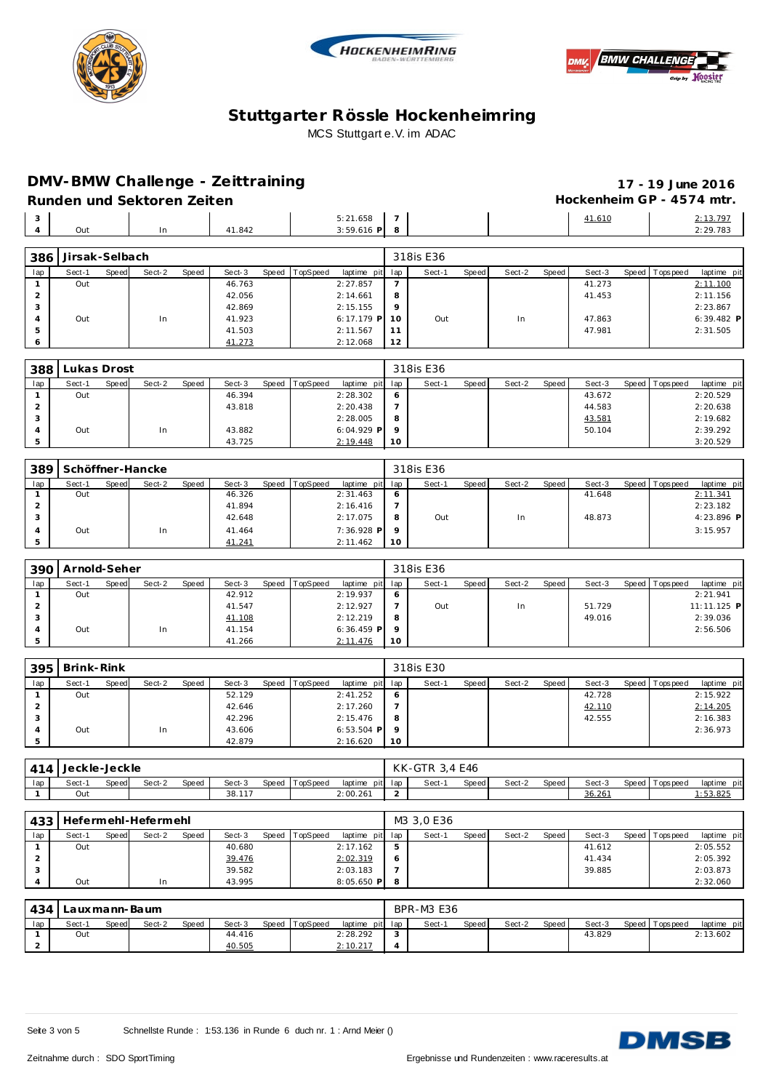





**12 12.068 12 12.068 12** 

**DMV-BMW Challenge - Ze ittraining 17 - 19 June 2016**

|                     | Runden und Sektoren Zeiten |       |        |       |        |       |          |                          |                     |           |       |        |       | Hockenheim GP - 4574 mtr. |                |                      |
|---------------------|----------------------------|-------|--------|-------|--------|-------|----------|--------------------------|---------------------|-----------|-------|--------|-------|---------------------------|----------------|----------------------|
| 3<br>$\overline{4}$ | Out                        |       | In     |       | 41.842 |       |          | 5:21.658<br>$3:59.616$ P | $\overline{ }$<br>8 |           |       |        |       | 41.610                    |                | 2:13.797<br>2:29.783 |
| 386                 | Jirsak-Selbach             |       |        |       |        |       |          |                          |                     | 318is E36 |       |        |       |                           |                |                      |
|                     |                            |       |        |       |        |       |          |                          |                     |           |       |        |       |                           |                |                      |
| lap                 | Sect-1                     | Speed | Sect-2 | Speed | Sect-3 | Speed | TopSpeed | laptime pit              | lap                 | Sect-1    | Speed | Sect-2 | Speed | Sect-3                    | Speed Topspeed | laptime pit          |
|                     | Out                        |       |        |       | 46.763 |       |          | 2:27.857                 |                     |           |       |        |       | 41.273                    |                | 2:11.100             |
|                     |                            |       |        |       | 42.056 |       |          | 2:14.661                 | 8                   |           |       |        |       | 41.453                    |                | 2:11.156             |
|                     |                            |       |        |       | 42.869 |       |          | 2:15.155                 | 9                   |           |       |        |       |                           |                | 2:23.867             |
|                     | Out                        |       | In     |       | 41.923 |       |          | $6:17.179$ P             | 10                  | Out       |       | In     |       | 47.863                    |                | $6:39.482$ P         |

| 388 | Lukas Drost |       |        |       |        |                |                 |         | 318is E36 |       |        |       |        |                |             |
|-----|-------------|-------|--------|-------|--------|----------------|-----------------|---------|-----------|-------|--------|-------|--------|----------------|-------------|
| lap | Sect-1      | Speed | Sect-2 | Speed | Sect-3 | Speed TopSpeed | laptime pit lap |         | Sect-1    | Speed | Sect-2 | Speed | Sect-3 | Speed Topspeed | laptime pit |
|     | Out         |       |        |       | 46.394 |                | 2:28.302        | O       |           |       |        |       | 43.672 |                | 2:20.529    |
|     |             |       |        |       | 43.818 |                | 2:20.438        |         |           |       |        |       | 44.583 |                | 2:20.638    |
|     |             |       |        |       |        |                | 2:28.005        | 8       |           |       |        |       | 43.581 |                | 2:19.682    |
|     | Out         |       | In     |       | 43.882 |                | $6:04.929$ P    | $\circ$ |           |       |        |       | 50.104 |                | 2:39.292    |
|     |             |       |        |       | 43.725 |                | 2:19.448        | 10      |           |       |        |       |        |                | 3:20.529    |

| 389             |        |       | Schöffner-Hancke |       |        |                |                 |         | 318is E36 |       |        |         |        |                 |             |
|-----------------|--------|-------|------------------|-------|--------|----------------|-----------------|---------|-----------|-------|--------|---------|--------|-----------------|-------------|
| lap             | Sect-1 | Speed | Sect-2           | Speed | Sect-3 | Speed TopSpeed | laptime pit lap |         | Sect-1    | Speed | Sect-2 | Speed I | Sect-3 | Speed Tops peed | laptime pit |
|                 | Out    |       |                  |       | 46.326 |                | 2:31.463        | - 6     |           |       |        |         | 41.648 |                 | 2:11.341    |
| -               |        |       |                  |       | 41.894 |                | 2:16.416        |         |           |       |        |         |        |                 | 2:23.182    |
| $\cdot$ $\cdot$ |        |       |                  |       | 42.648 |                | 2:17.075        | -8      | Out       |       | In     |         | 48.873 |                 | 4:23.896 P  |
|                 | Out    |       | In               |       | 41.464 |                | $7:36.928$ P    | $\circ$ |           |       |        |         |        |                 | 3:15.957    |
|                 |        |       |                  |       | 41.241 |                | 2:11.462        | 10      |           |       |        |         |        |                 |             |

| 390     | Arnold-Seher |       |        |       |        |                |                 |         | 318is E36 |       |        |       |        |                |             |
|---------|--------------|-------|--------|-------|--------|----------------|-----------------|---------|-----------|-------|--------|-------|--------|----------------|-------------|
| lap     | Sect-1       | Speed | Sect-2 | Speed | Sect-3 | Speed TopSpeed | laptime pit lap |         | Sect-1    | Speed | Sect-2 | Speed | Sect-3 | Speed Topspeed | laptime pit |
|         | Out          |       |        |       | 42.912 |                | 2:19.937        | -6      |           |       |        |       |        |                | 2:21.941    |
|         |              |       |        |       | 41.547 |                | 2:12.927        |         | Out       |       | In     |       | 51.729 |                | 11:11.125 P |
| $\cdot$ |              |       |        |       | 41.108 |                | 2:12.219        | - 8     |           |       |        |       | 49.016 |                | 2:39.036    |
|         | Out          |       | In     |       | 41.154 |                | $6:36.459$ P    | $\circ$ |           |       |        |       |        |                | 2:56.506    |
|         |              |       |        |       | 41.266 |                | 2:11.476        | 10      |           |       |        |       |        |                |             |

| 395 | Brink-Rink |       |        |       |        |       |          |                 |         | 318is E30 |       |        |       |        |                |             |
|-----|------------|-------|--------|-------|--------|-------|----------|-----------------|---------|-----------|-------|--------|-------|--------|----------------|-------------|
| lap | Sect-1     | Speed | Sect-2 | Speed | Sect-3 | Speed | TopSpeed | laptime pit lap |         | Sect-1    | Speed | Sect-2 | Speed | Sect-3 | Speed Topspeed | laptime pit |
|     | Out        |       |        |       | 52.129 |       |          | 2:41.252        | - 6     |           |       |        |       | 42.728 |                | 2:15.922    |
|     |            |       |        |       | 42.646 |       |          | 2:17.260        |         |           |       |        |       | 42.110 |                | 2:14.205    |
|     |            |       |        |       | 42.296 |       |          | 2:15.476        | - 8     |           |       |        |       | 42.555 |                | 2:16.383    |
|     | Out        |       | In     |       | 43.606 |       |          | $6:53.504$ P    | $\circ$ |           |       |        |       |        |                | 2:36.973    |
|     |            |       |        |       | 42.879 |       |          | 2:16.620        | 10      |           |       |        |       |        |                |             |

| 414 | Jeckle-Jeckle |              |        |       |        |       |          |                 |  | KK-GTR 3,4 E46 |       |        |       |        |                 |                |
|-----|---------------|--------------|--------|-------|--------|-------|----------|-----------------|--|----------------|-------|--------|-------|--------|-----------------|----------------|
| lap | Sect-         | <b>Speed</b> | Sect-2 | Speed | Sect-3 | Speed | TopSpeed | laptime pit lap |  | Sect-1         | Speed | Sect-2 | Speed | Sect-3 | Speed Tops peed | laptime<br>pit |
|     | Out           |              |        |       | 38.117 |       |          | 2:00.261        |  |                |       |        |       | 36.261 |                 | : 53.825       |

| 433 |        |       | Hefermehl-Hefermehl |       |        |       |          |                 |               | M3 3.0 E36 |       |        |       |        |                 |             |
|-----|--------|-------|---------------------|-------|--------|-------|----------|-----------------|---------------|------------|-------|--------|-------|--------|-----------------|-------------|
| lap | Sect-1 | Speed | Sect-2              | Speed | Sect-3 | Speed | TopSpeed | laptime pit lap |               | Sect-1     | Speed | Sect-2 | Speed | Sect-3 | Speed Tops peed | laptime pit |
|     | Out    |       |                     |       | 40.680 |       |          | 2:17.162        | $\mathcal{P}$ |            |       |        |       | 41.612 |                 | 2:05.552    |
|     |        |       |                     |       | 39.476 |       |          | 2:02.319        |               |            |       |        |       | 41.434 |                 | 2:05.392    |
|     |        |       |                     |       | 39.582 |       |          | 2:03.183        |               |            |       |        |       | 39.885 |                 | 2:03.873    |
|     | Out    |       | In                  |       | 43.995 |       |          | $8:05.650$ P    |               |            |       |        |       |        |                 | 2:32.060    |

| 434 |        |       | Lauxmann-Baum |              |        |                  |                  | <b>BPR-M3 E36</b> |       |        |       |        |                   |             |
|-----|--------|-------|---------------|--------------|--------|------------------|------------------|-------------------|-------|--------|-------|--------|-------------------|-------------|
| lap | Sect-1 | Speed | Sect-2        | <b>Speed</b> | Sect-3 | Speed   TopSpeed | laptime pit lap  | Sect-1            | Speed | Sect-2 | Speed | Sect-3 | Speed   Tops peed | laptime pit |
|     | Out    |       |               |              | 44.416 |                  | 2:28.292         |                   |       |        |       | 43.829 |                   | 2:13.602    |
|     |        |       |               |              | 40.505 |                  | <u> 2:10.217</u> |                   |       |        |       |        |                   |             |

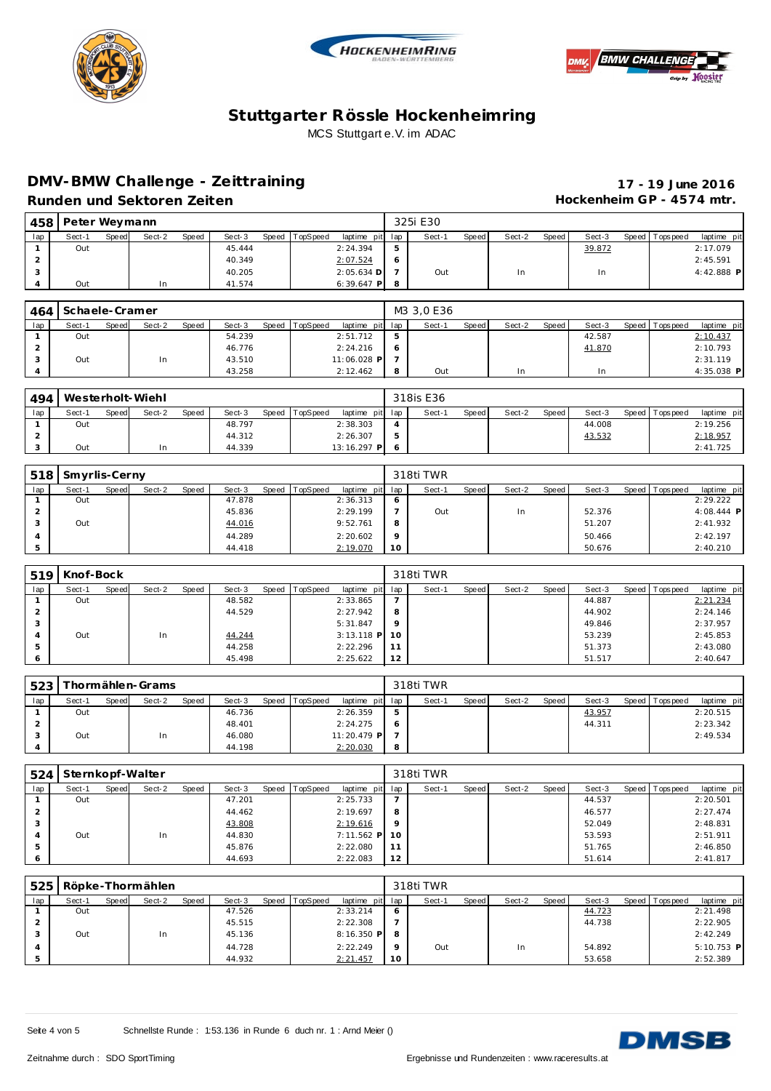





## **DMV-BMW Challenge - Ze ittraining 17 - 19 June 2016** Runden und Sektoren Zeiten **Munden und Sektoren Zeiten Hockenheim GP** - 4574 mtr.

|        | 458   Peter Weymann |       |        |       |        |                |                 |    | 325i E30 |       |        |       |        |                |             |
|--------|---------------------|-------|--------|-------|--------|----------------|-----------------|----|----------|-------|--------|-------|--------|----------------|-------------|
| lap    | Sect-1              | Speed | Sect-2 | Speed | Sect-3 | Speed TopSpeed | laptime pit lap |    | Sect-1   | Speed | Sect-2 | Speed | Sect-3 | Speed Topspeed | laptime pit |
|        | Out                 |       |        |       | 45.444 |                | 2:24.394        | Б. |          |       |        |       | 39.872 |                | 2:17.079    |
| $\sim$ |                     |       |        |       | 40.349 |                | 2:07.524        | 6  |          |       |        |       |        |                | 2:45.591    |
|        |                     |       |        |       | 40.205 |                | $2:05.634$ D    |    | Out      |       | In     |       | In     |                | 4:42.888 P  |
| 4      | Out                 |       | 1n     |       | 41.574 |                | $6:39.647$ P    | -8 |          |       |        |       |        |                |             |

| 464 | Schaele-Cramer |       |        |       |        |                |                 |   | M3 3.0 E36 |       |        |       |        |                 |              |
|-----|----------------|-------|--------|-------|--------|----------------|-----------------|---|------------|-------|--------|-------|--------|-----------------|--------------|
| lap | Sect-1         | Speed | Sect-2 | Speed | Sect-3 | Speed TopSpeed | laptime pit lap |   | Sect-1     | Speed | Sect-2 | Speed | Sect-3 | Speed Tops peed | laptime pit  |
|     | Out            |       |        |       | 54.239 |                | 2:51.712        | 5 |            |       |        |       | 42.587 |                 | 2:10.437     |
|     |                |       |        |       | 46.776 |                | 2:24.216        |   |            |       |        |       | 41.870 |                 | 2:10.793     |
|     | Out            |       | In     |       | 43.510 |                | 11:06.028 P     |   |            |       |        |       |        |                 | 2:31.119     |
|     |                |       |        |       | 43.258 |                | 2:12.462        |   | Out        |       | In     |       | In     |                 | $4:35.038$ P |

| 494 |        |              | Westerholt-Wiehl |       |        |       |          |                           |                     | 318is E36 |              |        |       |        |                |             |
|-----|--------|--------------|------------------|-------|--------|-------|----------|---------------------------|---------------------|-----------|--------------|--------|-------|--------|----------------|-------------|
| lap | Sect-1 | <b>Speed</b> | Sect-2           | Speed | Sect-3 | Speed | TopSpeed | laptime pit lap           |                     | Sect-1    | <b>Speed</b> | Sect-2 | Speed | Sect-3 | Speed Topspeed | laptime pit |
|     | Out    |              |                  |       | 48.797 |       |          | 2:38.303                  | $\leftarrow$        |           |              |        |       | 44.008 |                | 2:19.256    |
|     |        |              |                  |       | 44.312 |       |          | 2:26.307                  | $\overline{ }$<br>5 |           |              |        |       | 43.532 |                | 2:18.957    |
|     | Out    |              | In               |       | 44.339 |       |          | 13:16.297<br>$\mathsf{P}$ | Ć                   |           |              |        |       |        |                | 2:41.725    |

| 518         | Smyrlis-Cerny |       |        |       |        |       |          |             |         | 318ti TWR |       |        |       |        |                |              |
|-------------|---------------|-------|--------|-------|--------|-------|----------|-------------|---------|-----------|-------|--------|-------|--------|----------------|--------------|
| lap         | Sect-1        | Speed | Sect-2 | Speed | Sect-3 | Speed | TopSpeed | laptime pit | lap     | Sect-1    | Speed | Sect-2 | Speed | Sect-3 | Speed Topspeed | laptime pit  |
|             | Out           |       |        |       | 47.878 |       |          | 2:36.313    | $\circ$ |           |       |        |       |        |                | 2:29.222     |
| $\sim$<br>∠ |               |       |        |       | 45.836 |       |          | 2:29.199    |         | Out       |       | In     |       | 52.376 |                | $4:08.444$ P |
|             | Out           |       |        |       | 44.016 |       |          | 9:52.761    | 8       |           |       |        |       | 51.207 |                | 2:41.932     |
|             |               |       |        |       | 44.289 |       |          | 2:20.602    | $\circ$ |           |       |        |       | 50.466 |                | 2:42.197     |
|             |               |       |        |       | 44.418 |       |          | 2:19.070    | 10      |           |       |        |       | 50.676 |                | 2:40.210     |

| 519 | Knof-Bock |       |        |       |        |                |                 |         | 318ti TWR |       |        |       |        |                 |             |
|-----|-----------|-------|--------|-------|--------|----------------|-----------------|---------|-----------|-------|--------|-------|--------|-----------------|-------------|
| lap | Sect-1    | Speed | Sect-2 | Speed | Sect-3 | Speed TopSpeed | laptime pit lap |         | Sect-1    | Speed | Sect-2 | Speed | Sect-3 | Speed Tops peed | laptime pit |
|     | Out       |       |        |       | 48.582 |                | 2:33.865        |         |           |       |        |       | 44.887 |                 | 2:21.234    |
| ∠   |           |       |        |       | 44.529 |                | 2:27.942        | 8       |           |       |        |       | 44.902 |                 | 2:24.146    |
| 3   |           |       |        |       |        |                | 5:31.847        | $\circ$ |           |       |        |       | 49.846 |                 | 2:37.957    |
| 4   | Out       |       | In     |       | 44.244 |                | $3:13.118$ P    | 10      |           |       |        |       | 53.239 |                 | 2:45.853    |
| 5   |           |       |        |       | 44.258 |                | 2:22.296        | 11      |           |       |        |       | 51.373 |                 | 2:43.080    |
|     |           |       |        |       | 45.498 |                | 2:25.622        | 12      |           |       |        |       | 51.517 |                 | 2:40.647    |

| 523 |        |       | hormählen-Grams |       |        |       |                 |                 |   | 318ti TWR |       |        |       |        |                 |             |
|-----|--------|-------|-----------------|-------|--------|-------|-----------------|-----------------|---|-----------|-------|--------|-------|--------|-----------------|-------------|
| lap | Sect-1 | Speed | Sect-2          | Speed | Sect-3 | Speed | <b>TopSpeed</b> | laptime pit lap |   | Sect-1    | Speed | Sect-2 | Speed | Sect-3 | Speed Tops peed | laptime pit |
|     | Out    |       |                 |       | 46.736 |       |                 | 2:26.359        | ь |           |       |        |       | 43.957 |                 | 2:20.515    |
|     |        |       |                 |       | 48.401 |       |                 | 2:24.275        | 6 |           |       |        |       | 44.311 |                 | 2:23.342    |
|     | Out    |       | In              |       | 46.080 |       |                 | 11:20.479 P     |   |           |       |        |       |        |                 | 2:49.534    |
|     |        |       |                 |       | 44.198 |       |                 | 2:20.030        | 8 |           |       |        |       |        |                 |             |

| 524            | Sternkopf-Walter |       |        |       |        |       |          |                   |         | 318ti TWR |       |        |       |        |                 |             |
|----------------|------------------|-------|--------|-------|--------|-------|----------|-------------------|---------|-----------|-------|--------|-------|--------|-----------------|-------------|
| lap            | Sect-1           | Speed | Sect-2 | Speed | Sect-3 | Speed | TopSpeed | laptime pit lap l |         | Sect-1    | Speed | Sect-2 | Speed | Sect-3 | Speed Tops peed | laptime pit |
|                | Out              |       |        |       | 47.201 |       |          | 2:25.733          |         |           |       |        |       | 44.537 |                 | 2:20.501    |
|                |                  |       |        |       | 44.462 |       |          | 2:19.697          | 8       |           |       |        |       | 46.577 |                 | 2:27.474    |
| ు              |                  |       |        |       | 43.808 |       |          | 2:19.616          | $\circ$ |           |       |        |       | 52.049 |                 | 2:48.831    |
| $\overline{A}$ | Out              |       | In     |       | 44.830 |       |          | $7:11.562$ P 10   |         |           |       |        |       | 53.593 |                 | 2:51.911    |
| -5             |                  |       |        |       | 45.876 |       |          | 2:22.080          | 11      |           |       |        |       | 51.765 |                 | 2:46.850    |
|                |                  |       |        |       | 44.693 |       |          | 2:22.083          | 12      |           |       |        |       | 51.614 |                 | 2:41.817    |

| 525 |        |       | Röpke-Thormählen |       |        |                |                 |         | 318ti TWR |       |        |       |        |                 |              |
|-----|--------|-------|------------------|-------|--------|----------------|-----------------|---------|-----------|-------|--------|-------|--------|-----------------|--------------|
| lap | Sect-1 | Speed | Sect-2           | Speed | Sect-3 | Speed TopSpeed | laptime pit lap |         | Sect-1    | Speed | Sect-2 | Speed | Sect-3 | Speed Tops peed | laptime pit  |
|     | Out    |       |                  |       | 47.526 |                | 2:33.214        | $\circ$ |           |       |        |       | 44.723 |                 | 2:21.498     |
|     |        |       |                  |       | 45.515 |                | 2:22.308        |         |           |       |        |       | 44.738 |                 | 2:22.905     |
|     | Out    |       | In               |       | 45.136 |                | $8:16.350$ P    | 8       |           |       |        |       |        |                 | 2:42.249     |
|     |        |       |                  |       | 44.728 |                | 2:22.249        | $\circ$ | Out       |       | In     |       | 54.892 |                 | $5:10.753$ P |
|     |        |       |                  |       | 44.932 |                | 2:21.457        | 10      |           |       |        |       | 53.658 |                 | 2:52.389     |

Seite 4 von 5 Schnellste Runde : 1:53.136 in Runde 6 duch nr. 1 : Arnd Meier ()